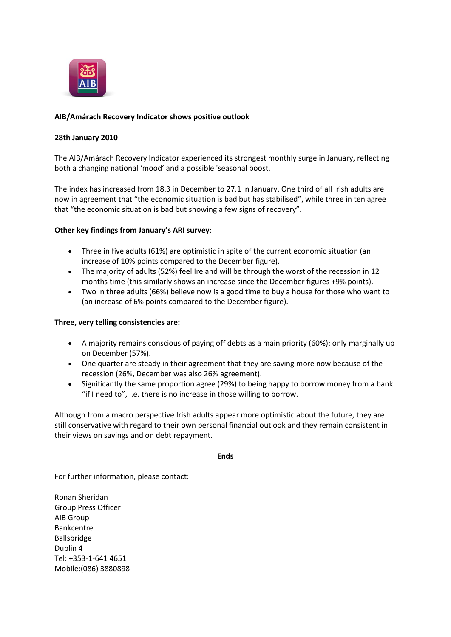

# **AIB/Amárach Recovery Indicator shows positive outlook**

## **28th January 2010**

The AIB/Amárach Recovery Indicator experienced its strongest monthly surge in January, reflecting both a changing national 'mood' and a possible 'seasonal boost.

The index has increased from 18.3 in December to 27.1 in January. One third of all Irish adults are now in agreement that "the economic situation is bad but has stabilised", while three in ten agree that "the economic situation is bad but showing a few signs of recovery".

#### **Other key findings from January's ARI survey**:

- Three in five adults (61%) are optimistic in spite of the current economic situation (an increase of 10% points compared to the December figure).
- The majority of adults (52%) feel Ireland will be through the worst of the recession in 12 months time (this similarly shows an increase since the December figures +9% points).
- Two in three adults (66%) believe now is a good time to buy a house for those who want to (an increase of 6% points compared to the December figure).

### **Three, very telling consistencies are:**

- A majority remains conscious of paying off debts as a main priority (60%); only marginally up on December (57%).
- One quarter are steady in their agreement that they are saving more now because of the recession (26%, December was also 26% agreement).
- Significantly the same proportion agree (29%) to being happy to borrow money from a bank "if I need to", i.e. there is no increase in those willing to borrow.

Although from a macro perspective Irish adults appear more optimistic about the future, they are still conservative with regard to their own personal financial outlook and they remain consistent in their views on savings and on debt repayment.

#### **Ends**

For further information, please contact:

Ronan Sheridan Group Press Officer AIB Group Bankcentre Ballsbridge Dublin 4 Tel: +353-1-641 4651 Mobile:(086) 3880898